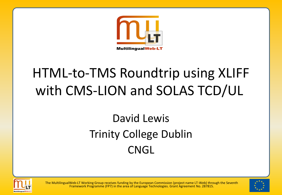

## HTML-to-TMS Roundtrip using XLIFF with CMS-LION and SOLAS TCD/UL

### David Lewis Trinity College Dublin **CNGL**





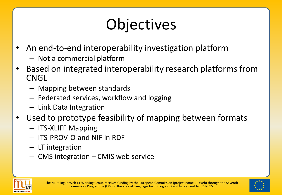# **Objectives**

- An end-to-end interoperability investigation platform
	- Not a commercial platform
- Based on integrated interoperability research platforms from CNGL
	- Mapping between standards
	- Federated services, workflow and logging
	- Link Data Integration
- Used to prototype feasibility of mapping between formats
	- ITS-XLIFF Mapping
	- ITS-PROV-O and NIF in RDF
	- LT integration
	- CMS integration CMIS web service



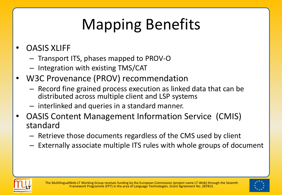# Mapping Benefits

#### • OASIS XLIFF

- Transport ITS, phases mapped to PROV-O
- Integration with existing TMS/CAT
- W3C Provenance (PROV) recommendation
	- Record fine grained process execution as linked data that can be distributed across multiple client and LSP systems
	- interlinked and queries in a standard manner.
- OASIS Content Management Information Service (CMIS) standard
	- Retrieve those documents regardless of the CMS used by client
	- Externally associate multiple ITS rules with whole groups of document



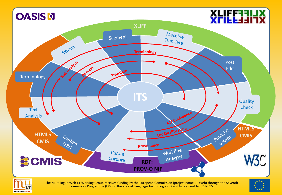

MultilingualWeb-LT

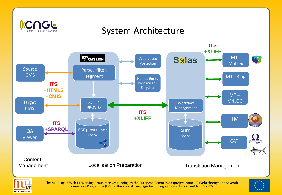

#### System Architecture





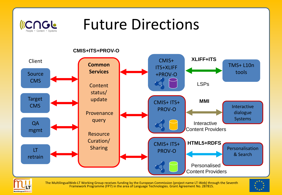

### Future Directions